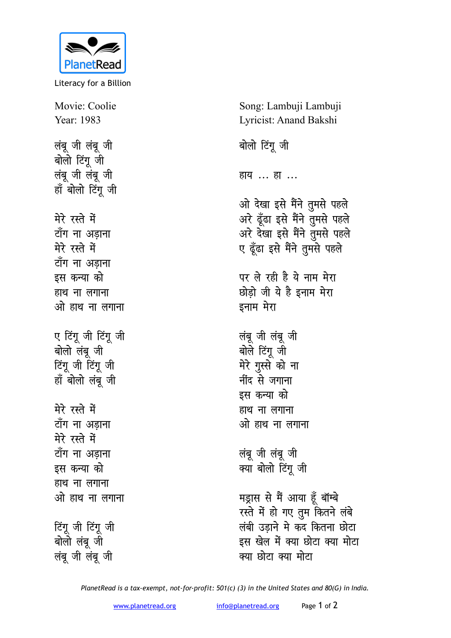

Literacy for a Billion

Movie: Coolie Year: 1983 लंबू जी लंबू जी बोलो टिंगू जी लंबू जी लंबू जी हाँ बोलो टिंगू जी मेरे रस्ते में टॉंग ना अड़ाना मेरे रस्ते में टाँग ना अडाना इस कन्या को हाथ ना लगाना ओ हाथ ना लगाना ए टिंगू जी टिंगू जी बोलो लंबू जी टिंगू जी टिंगू जी हाँ बोलो लंबू जी मेरे रस्ते में टॉंग ना अड़ाना मेरे रस्ते में टाँग ना अड़ाना इस कन्या को हाथ ना लगाना ओ हाथ ना लगाना टिंगू जी टिंगू जी बोलो लंबू जी लंबू जी लंबू जी

Song: Lambuji Lambuji Lyricist: Anand Bakshi

बोलो टिंगू जी

हाय ... हा ...

ओ देखा इसे मैंने तुमसे पहले अरे ढूँढा इसे मैंने तुमसे पहले अरे देखा इसे मैंने तुमसे पहले ए ढूँढा इसे मैंने तुमसे पहले

पर ले रही है ये नाम मेरा छोड़ो जी ये है इनाम मेरा इनाम मेरा

लंबू जी लंबू जी बोले टिंगू जी मेरे गुस्से को ना नींद से जगाना इस कन्या को हाथ ना लगाना ओ हाथ ना लगाना

लंबू जी लंबू जी क्या बोलो टिंगु जी

मड्रास से मैं आया हूँ बॉम्बे रस्ते में हो गए तुम कितने लंबे लंबी उडाने मे कद कितना छोटा इस खेल में क्या छोटा क्या मोटा क्या छोटा क्या मोटा

PlanetRead is a tax-exempt, not-for-profit: 501(c) (3) in the United States and 80(G) in India.